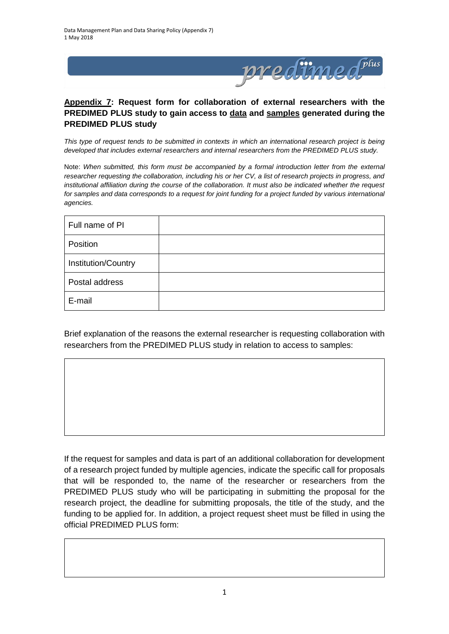

## **Appendix 7: Request form for collaboration of external researchers with the PREDIMED PLUS study to gain access to data and samples generated during the PREDIMED PLUS study**

*This type of request tends to be submitted in contexts in which an international research project is being developed that includes external researchers and internal researchers from the PREDIMED PLUS study.*

Note: *When submitted, this form must be accompanied by a formal introduction letter from the external researcher requesting the collaboration, including his or her CV, a list of research projects in progress, and institutional affiliation during the course of the collaboration. It must also be indicated whether the request*  for samples and data corresponds to a request for joint funding for a project funded by various international *agencies.*

| Full name of PI     |  |
|---------------------|--|
| Position            |  |
| Institution/Country |  |
| Postal address      |  |
| E-mail              |  |

Brief explanation of the reasons the external researcher is requesting collaboration with researchers from the PREDIMED PLUS study in relation to access to samples:

If the request for samples and data is part of an additional collaboration for development of a research project funded by multiple agencies, indicate the specific call for proposals that will be responded to, the name of the researcher or researchers from the PREDIMED PLUS study who will be participating in submitting the proposal for the research project, the deadline for submitting proposals, the title of the study, and the funding to be applied for. In addition, a project request sheet must be filled in using the official PREDIMED PLUS form: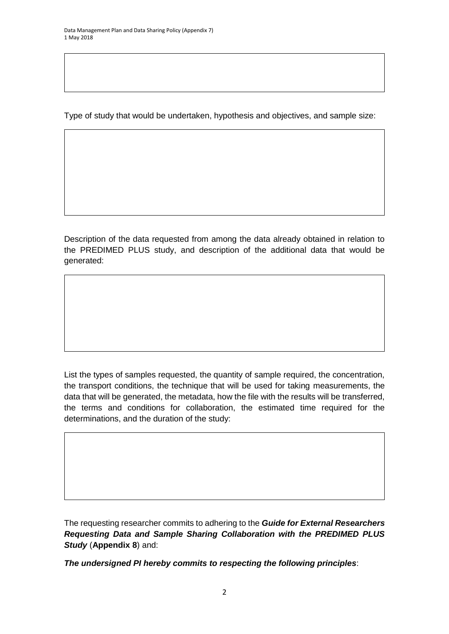Type of study that would be undertaken, hypothesis and objectives, and sample size:

Description of the data requested from among the data already obtained in relation to the PREDIMED PLUS study, and description of the additional data that would be generated:

List the types of samples requested, the quantity of sample required, the concentration, the transport conditions, the technique that will be used for taking measurements, the data that will be generated, the metadata, how the file with the results will be transferred, the terms and conditions for collaboration, the estimated time required for the determinations, and the duration of the study:

The requesting researcher commits to adhering to the *Guide for External Researchers Requesting Data and Sample Sharing Collaboration with the PREDIMED PLUS Study* (**Appendix 8**) and:

*The undersigned PI hereby commits to respecting the following principles*: